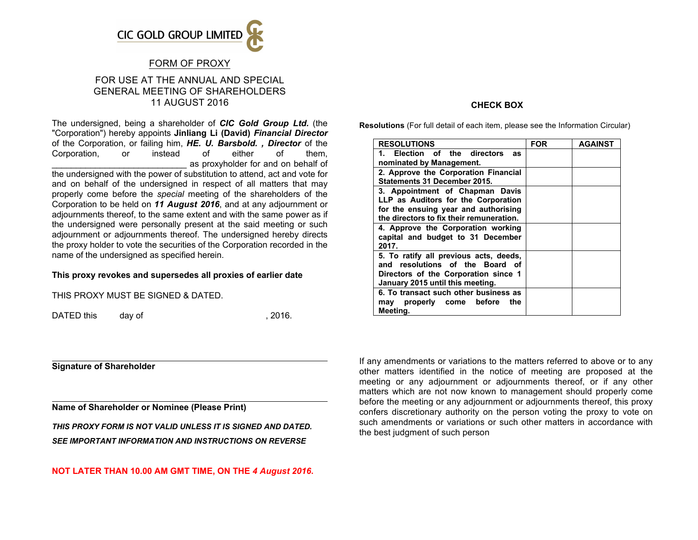

## FORM OF PROXY

## FOR USE AT THE ANNUAL AND SPECIAL GENERAL MEETING OF SHAREHOLDERS 11 AUGUST 2016

The undersigned, being a shareholder of *CIC Gold Group Ltd.* (the "Corporation") hereby appoints **Jinliang Li (David)** *Financial Director* of the Corporation, or failing him, *HE. U. Barsbold. , Director* of the Corporation, or instead of either of them, \_\_\_\_\_\_\_\_\_\_\_\_\_\_\_\_\_\_\_\_\_\_\_\_\_\_\_\_ as proxyholder for and on behalf of

the undersigned with the power of substitution to attend, act and vote for and on behalf of the undersigned in respect of all matters that may properly come before the *special* meeting of the shareholders of the Corporation to be held on *11 August 2016*, and at any adjournment or adjournments thereof, to the same extent and with the same power as if the undersigned were personally present at the said meeting or such adjournment or adjournments thereof. The undersigned hereby directs the proxy holder to vote the securities of the Corporation recorded in the name of the undersigned as specified herein.

#### **This proxy revokes and supersedes all proxies of earlier date**

THIS PROXY MUST BE SIGNED & DATED.

DATED this day of the case of the case of the case of the case of the case of the case of the case of the case of the case of the case of the case of the case of the case of the case of the case of the case of the case of

**Signature of Shareholder**

**Name of Shareholder or Nominee (Please Print)**

*THIS PROXY FORM IS NOT VALID UNLESS IT IS SIGNED AND DATED. SEE IMPORTANT INFORMATION AND INSTRUCTIONS ON REVERSE*

#### **NOT LATER THAN 10.00 AM GMT TIME, ON THE** *4 August 2016***.**

### **CHECK BOX**

**Resolutions** (For full detail of each item, please see the Information Circular)

| <b>RESOLUTIONS</b>                       | <b>FOR</b> | <b>AGAINST</b> |
|------------------------------------------|------------|----------------|
| 1. Election of the directors<br>as       |            |                |
| nominated by Management.                 |            |                |
| 2. Approve the Corporation Financial     |            |                |
| Statements 31 December 2015.             |            |                |
| 3. Appointment of Chapman Davis          |            |                |
| LLP as Auditors for the Corporation      |            |                |
| for the ensuing year and authorising     |            |                |
| the directors to fix their remuneration. |            |                |
| 4. Approve the Corporation working       |            |                |
| capital and budget to 31 December        |            |                |
| 2017.                                    |            |                |
| 5. To ratify all previous acts, deeds,   |            |                |
| and resolutions of the Board of          |            |                |
| Directors of the Corporation since 1     |            |                |
| January 2015 until this meeting.         |            |                |
| 6. To transact such other business as    |            |                |
| may properly come before<br>the          |            |                |
| Meeting.                                 |            |                |

If any amendments or variations to the matters referred to above or to any other matters identified in the notice of meeting are proposed at the meeting or any adjournment or adjournments thereof, or if any other matters which are not now known to management should properly come before the meeting or any adjournment or adjournments thereof, this proxy confers discretionary authority on the person voting the proxy to vote on such amendments or variations or such other matters in accordance with the best judgment of such person